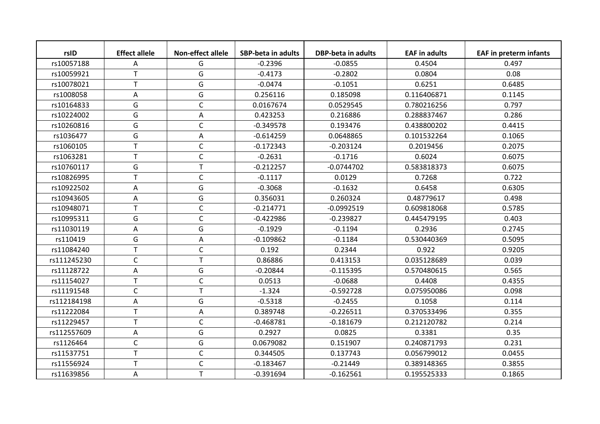| rsID        | <b>Effect allele</b> | <b>Non-effect allele</b> | <b>SBP-beta in adults</b> | <b>DBP-beta in adults</b> | <b>EAF in adults</b> | <b>EAF in preterm infants</b> |
|-------------|----------------------|--------------------------|---------------------------|---------------------------|----------------------|-------------------------------|
| rs10057188  | A                    | G                        | $-0.2396$                 | $-0.0855$                 | 0.4504               | 0.497                         |
| rs10059921  | T                    | G                        | $-0.4173$                 | $-0.2802$                 | 0.0804               | 0.08                          |
| rs10078021  | T                    | G                        | $-0.0474$                 | $-0.1051$                 | 0.6251               | 0.6485                        |
| rs1008058   | A                    | G                        | 0.256116                  | 0.185098                  | 0.116406871          | 0.1145                        |
| rs10164833  | G                    | C                        | 0.0167674                 | 0.0529545                 | 0.780216256          | 0.797                         |
| rs10224002  | G                    | Α                        | 0.423253                  | 0.216886                  | 0.288837467          | 0.286                         |
| rs10260816  | G                    | $\mathsf C$              | $-0.349578$               | 0.193476                  | 0.438800202          | 0.4415                        |
| rs1036477   | G                    | A                        | $-0.614259$               | 0.0648865                 | 0.101532264          | 0.1065                        |
| rs1060105   | T                    | $\mathsf{C}$             | $-0.172343$               | $-0.203124$               | 0.2019456            | 0.2075                        |
| rs1063281   | T                    | $\mathsf C$              | $-0.2631$                 | $-0.1716$                 | 0.6024               | 0.6075                        |
| rs10760117  | G                    | T                        | $-0.212257$               | $-0.0744702$              | 0.583818373          | 0.6075                        |
| rs10826995  | T                    | $\mathsf C$              | $-0.1117$                 | 0.0129                    | 0.7268               | 0.722                         |
| rs10922502  | A                    | G                        | $-0.3068$                 | $-0.1632$                 | 0.6458               | 0.6305                        |
| rs10943605  | Α                    | G                        | 0.356031                  | 0.260324                  | 0.48779617           | 0.498                         |
| rs10948071  | T                    | $\mathsf{C}$             | $-0.214771$               | $-0.0992519$              | 0.609818068          | 0.5785                        |
| rs10995311  | G                    | $\mathsf C$              | $-0.422986$               | $-0.239827$               | 0.445479195          | 0.403                         |
| rs11030119  | Α                    | G                        | $-0.1929$                 | $-0.1194$                 | 0.2936               | 0.2745                        |
| rs110419    | G                    | Α                        | $-0.109862$               | $-0.1184$                 | 0.530440369          | 0.5095                        |
| rs11084240  | T                    | $\mathsf C$              | 0.192                     | 0.2344                    | 0.922                | 0.9205                        |
| rs111245230 | $\mathsf C$          | T                        | 0.86886                   | 0.413153                  | 0.035128689          | 0.039                         |
| rs11128722  | A                    | G                        | $-0.20844$                | $-0.115395$               | 0.570480615          | 0.565                         |
| rs11154027  | T                    | $\mathsf{C}$             | 0.0513                    | $-0.0688$                 | 0.4408               | 0.4355                        |
| rs11191548  | $\mathsf{C}$         | T                        | $-1.324$                  | $-0.592728$               | 0.075950086          | 0.098                         |
| rs112184198 | A                    | G                        | $-0.5318$                 | $-0.2455$                 | 0.1058               | 0.114                         |
| rs11222084  | T                    | A                        | 0.389748                  | $-0.226511$               | 0.370533496          | 0.355                         |
| rs11229457  | T                    | $\mathsf C$              | $-0.468781$               | $-0.181679$               | 0.212120782          | 0.214                         |
| rs112557609 | A                    | G                        | 0.2927                    | 0.0825                    | 0.3381               | 0.35                          |
| rs1126464   | $\mathsf C$          | G                        | 0.0679082                 | 0.151907                  | 0.240871793          | 0.231                         |
| rs11537751  | T                    | $\mathsf C$              | 0.344505                  | 0.137743                  | 0.056799012          | 0.0455                        |
| rs11556924  | T                    | $\mathsf C$              | $-0.183467$               | $-0.21449$                | 0.389148365          | 0.3855                        |
| rs11639856  | Α                    | T                        | $-0.391694$               | $-0.162561$               | 0.195525333          | 0.1865                        |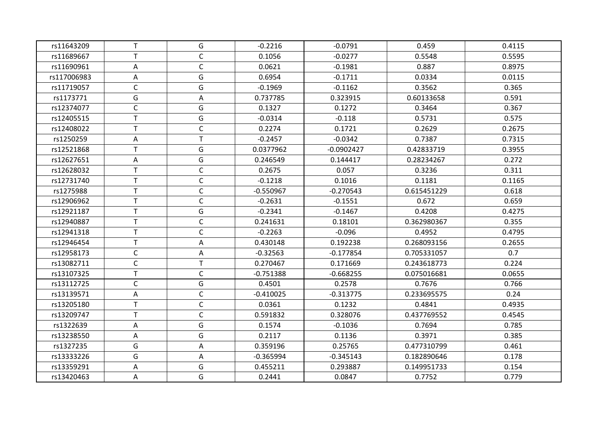| rs11643209  | $\mathsf T$  | G            | $-0.2216$   | $-0.0791$    | 0.459       | 0.4115 |
|-------------|--------------|--------------|-------------|--------------|-------------|--------|
| rs11689667  | $\mathsf{T}$ | $\mathsf{C}$ | 0.1056      | $-0.0277$    | 0.5548      | 0.5595 |
| rs11690961  | Α            | $\mathsf{C}$ | 0.0621      | $-0.1981$    | 0.887       | 0.8975 |
| rs117006983 | Α            | G            | 0.6954      | $-0.1711$    | 0.0334      | 0.0115 |
| rs11719057  | $\mathsf C$  | G            | $-0.1969$   | $-0.1162$    | 0.3562      | 0.365  |
| rs1173771   | G            | Α            | 0.737785    | 0.323915     | 0.60133658  | 0.591  |
| rs12374077  | $\mathsf{C}$ | G            | 0.1327      | 0.1272       | 0.3464      | 0.367  |
| rs12405515  | $\mathsf T$  | G            | $-0.0314$   | $-0.118$     | 0.5731      | 0.575  |
| rs12408022  | $\mathsf T$  | $\mathsf C$  | 0.2274      | 0.1721       | 0.2629      | 0.2675 |
| rs1250259   | Α            | T.           | $-0.2457$   | $-0.0342$    | 0.7387      | 0.7315 |
| rs12521868  | Τ            | G            | 0.0377962   | $-0.0902427$ | 0.42833719  | 0.3955 |
| rs12627651  | Α            | G            | 0.246549    | 0.144417     | 0.28234267  | 0.272  |
| rs12628032  | $\mathsf T$  | $\mathsf{C}$ | 0.2675      | 0.057        | 0.3236      | 0.311  |
| rs12731740  | $\mathsf{T}$ | $\mathsf{C}$ | $-0.1218$   | 0.1016       | 0.1181      | 0.1165 |
| rs1275988   | $\mathsf T$  | $\mathsf C$  | $-0.550967$ | $-0.270543$  | 0.615451229 | 0.618  |
| rs12906962  | $\mathsf T$  | $\mathsf{C}$ | $-0.2631$   | $-0.1551$    | 0.672       | 0.659  |
| rs12921187  | $\mathsf T$  | G            | $-0.2341$   | $-0.1467$    | 0.4208      | 0.4275 |
| rs12940887  | $\mathsf{T}$ | $\mathsf C$  | 0.241631    | 0.18101      | 0.362980367 | 0.355  |
| rs12941318  | $\mathsf T$  | $\mathsf C$  | $-0.2263$   | $-0.096$     | 0.4952      | 0.4795 |
| rs12946454  | T            | Α            | 0.430148    | 0.192238     | 0.268093156 | 0.2655 |
| rs12958173  | $\mathsf C$  | Α            | $-0.32563$  | $-0.177854$  | 0.705331057 | 0.7    |
| rs13082711  | $\mathsf C$  | T            | 0.270467    | 0.171669     | 0.243618773 | 0.224  |
| rs13107325  | $\mathsf T$  | $\mathsf{C}$ | $-0.751388$ | $-0.668255$  | 0.075016681 | 0.0655 |
| rs13112725  | $\mathsf C$  | G            | 0.4501      | 0.2578       | 0.7676      | 0.766  |
| rs13139571  | Α            | $\mathsf C$  | $-0.410025$ | $-0.313775$  | 0.233695575 | 0.24   |
| rs13205180  | $\mathsf T$  | $\mathsf C$  | 0.0361      | 0.1232       | 0.4841      | 0.4935 |
| rs13209747  | $\mathsf T$  | $\mathsf{C}$ | 0.591832    | 0.328076     | 0.437769552 | 0.4545 |
| rs1322639   | Α            | G            | 0.1574      | $-0.1036$    | 0.7694      | 0.785  |
| rs13238550  | Α            | G            | 0.2117      | 0.1136       | 0.3971      | 0.385  |
| rs1327235   | G            | Α            | 0.359196    | 0.25765      | 0.477310799 | 0.461  |
| rs13333226  | G            | Α            | $-0.365994$ | $-0.345143$  | 0.182890646 | 0.178  |
| rs13359291  | Α            | G            | 0.455211    | 0.293887     | 0.149951733 | 0.154  |
| rs13420463  | Α            | G            | 0.2441      | 0.0847       | 0.7752      | 0.779  |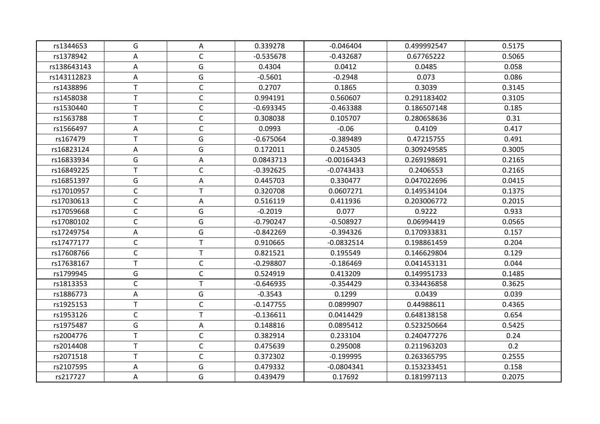| rs1344653   | G            | Α            | 0.339278    | $-0.046404$   | 0.499992547 | 0.5175 |
|-------------|--------------|--------------|-------------|---------------|-------------|--------|
| rs1378942   | Α            | $\mathsf{C}$ | $-0.535678$ | $-0.432687$   | 0.67765222  | 0.5065 |
| rs138643143 | Α            | G            | 0.4304      | 0.0412        | 0.0485      | 0.058  |
| rs143112823 | Α            | G            | $-0.5601$   | $-0.2948$     | 0.073       | 0.086  |
| rs1438896   | T            | $\mathsf{C}$ | 0.2707      | 0.1865        | 0.3039      | 0.3145 |
| rs1458038   | $\mathsf T$  | $\mathsf C$  | 0.994191    | 0.560607      | 0.291183402 | 0.3105 |
| rs1530440   | $\mathsf T$  | $\mathsf{C}$ | $-0.693345$ | $-0.463388$   | 0.186507148 | 0.185  |
| rs1563788   | $\mathsf T$  | $\mathsf C$  | 0.308038    | 0.105707      | 0.280658636 | 0.31   |
| rs1566497   | Α            | $\mathsf{C}$ | 0.0993      | $-0.06$       | 0.4109      | 0.417  |
| rs167479    | $\mathsf T$  | G            | $-0.675064$ | $-0.389489$   | 0.47215755  | 0.491  |
| rs16823124  | Α            | G            | 0.172011    | 0.245305      | 0.309249585 | 0.3005 |
| rs16833934  | G            | Α            | 0.0843713   | $-0.00164343$ | 0.269198691 | 0.2165 |
| rs16849225  | T            | $\mathsf{C}$ | $-0.392625$ | $-0.0743433$  | 0.2406553   | 0.2165 |
| rs16851397  | G            | A            | 0.445703    | 0.330477      | 0.047022696 | 0.0415 |
| rs17010957  | $\mathsf C$  | $\mathsf{T}$ | 0.320708    | 0.0607271     | 0.149534104 | 0.1375 |
| rs17030613  | $\mathsf C$  | Α            | 0.516119    | 0.411936      | 0.203006772 | 0.2015 |
| rs17059668  | $\mathsf C$  | G            | $-0.2019$   | 0.077         | 0.9222      | 0.933  |
| rs17080102  | $\mathsf{C}$ | G            | $-0.790247$ | $-0.508927$   | 0.06994419  | 0.0565 |
| rs17249754  | Α            | G            | $-0.842269$ | $-0.394326$   | 0.170933831 | 0.157  |
| rs17477177  | $\mathsf C$  | $\mathsf T$  | 0.910665    | $-0.0832514$  | 0.198861459 | 0.204  |
| rs17608766  | $\mathsf C$  | $\mathsf{T}$ | 0.821521    | 0.195549      | 0.146629804 | 0.129  |
| rs17638167  | T            | $\mathsf{C}$ | $-0.298807$ | $-0.186469$   | 0.041453131 | 0.044  |
| rs1799945   | G            | $\mathsf C$  | 0.524919    | 0.413209      | 0.149951733 | 0.1485 |
| rs1813353   | $\mathsf C$  | $\mathsf{T}$ | $-0.646935$ | $-0.354429$   | 0.334436858 | 0.3625 |
| rs1886773   | Α            | G            | $-0.3543$   | 0.1299        | 0.0439      | 0.039  |
| rs1925153   | $\mathsf T$  | $\mathsf{C}$ | $-0.147755$ | 0.0899907     | 0.44988611  | 0.4365 |
| rs1953126   | $\mathsf C$  | $\mathsf{T}$ | $-0.136611$ | 0.0414429     | 0.648138158 | 0.654  |
| rs1975487   | G            | Α            | 0.148816    | 0.0895412     | 0.523250664 | 0.5425 |
| rs2004776   | $\mathsf T$  | $\mathsf C$  | 0.382914    | 0.233104      | 0.240477276 | 0.24   |
| rs2014408   | T            | $\mathsf C$  | 0.475639    | 0.295008      | 0.211963203 | 0.2    |
| rs2071518   | $\mathsf T$  | $\mathsf C$  | 0.372302    | $-0.199995$   | 0.263365795 | 0.2555 |
| rs2107595   | A            | G            | 0.479332    | $-0.0804341$  | 0.153233451 | 0.158  |
| rs217727    | Α            | G            | 0.439479    | 0.17692       | 0.181997113 | 0.2075 |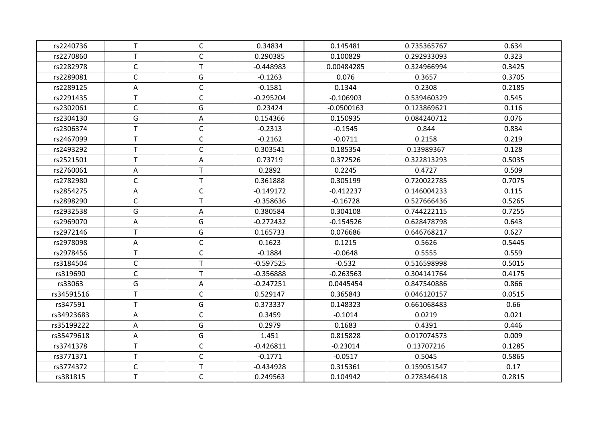| rs2240736  | $\mathsf T$  | $\mathsf{C}$ | 0.34834     | 0.145481     | 0.735365767 | 0.634  |
|------------|--------------|--------------|-------------|--------------|-------------|--------|
| rs2270860  | T            | $\mathsf{C}$ | 0.290385    | 0.100829     | 0.292933093 | 0.323  |
| rs2282978  | $\mathsf C$  | T            | $-0.448983$ | 0.00484285   | 0.324966994 | 0.3425 |
| rs2289081  | $\mathsf C$  | G            | $-0.1263$   | 0.076        | 0.3657      | 0.3705 |
| rs2289125  | Α            | $\mathsf{C}$ | $-0.1581$   | 0.1344       | 0.2308      | 0.2185 |
| rs2291435  | $\mathsf{T}$ | $\mathsf{C}$ | $-0.295204$ | $-0.106903$  | 0.539460329 | 0.545  |
| rs2302061  | $\mathsf C$  | G            | 0.23424     | $-0.0500163$ | 0.123869621 | 0.116  |
| rs2304130  | G            | Α            | 0.154366    | 0.150935     | 0.084240712 | 0.076  |
| rs2306374  | T            | $\mathsf{C}$ | $-0.2313$   | $-0.1545$    | 0.844       | 0.834  |
| rs2467099  | $\top$       | $\mathsf{C}$ | $-0.2162$   | $-0.0711$    | 0.2158      | 0.219  |
|            | T            | $\mathsf{C}$ | 0.303541    | 0.185354     | 0.13989367  | 0.128  |
| rs2493292  | $\mathsf T$  |              |             |              |             |        |
| rs2521501  |              | Α            | 0.73719     | 0.372526     | 0.322813293 | 0.5035 |
| rs2760061  | Α            | T            | 0.2892      | 0.2245       | 0.4727      | 0.509  |
| rs2782980  | $\mathsf{C}$ | T.           | 0.361888    | 0.305199     | 0.720022785 | 0.7075 |
| rs2854275  | Α            | $\mathsf{C}$ | $-0.149172$ | $-0.412237$  | 0.146004233 | 0.115  |
| rs2898290  | $\mathsf C$  | T            | $-0.358636$ | $-0.16728$   | 0.527666436 | 0.5265 |
| rs2932538  | G            | Α            | 0.380584    | 0.304108     | 0.744222115 | 0.7255 |
| rs2969070  | Α            | G            | $-0.272432$ | $-0.154526$  | 0.628478798 | 0.643  |
| rs2972146  | T            | G            | 0.165733    | 0.076686     | 0.646768217 | 0.627  |
| rs2978098  | Α            | $\mathsf C$  | 0.1623      | 0.1215       | 0.5626      | 0.5445 |
| rs2978456  | $\top$       | $\mathsf{C}$ | $-0.1884$   | $-0.0648$    | 0.5555      | 0.559  |
| rs3184504  | $\mathsf C$  | T.           | $-0.597525$ | $-0.532$     | 0.516598998 | 0.5015 |
| rs319690   | $\mathsf C$  | $\mathsf{T}$ | $-0.356888$ | $-0.263563$  | 0.304141764 | 0.4175 |
| rs33063    | G            | Α            | $-0.247251$ | 0.0445454    | 0.847540886 | 0.866  |
| rs34591516 | $\mathsf{T}$ | $\mathsf{C}$ | 0.529147    | 0.365843     | 0.046120157 | 0.0515 |
| rs347591   | $\mathsf T$  | G            | 0.373337    | 0.148323     | 0.661068483 | 0.66   |
| rs34923683 | Α            | $\mathsf C$  | 0.3459      | $-0.1014$    | 0.0219      | 0.021  |
| rs35199222 | Α            | G            | 0.2979      | 0.1683       | 0.4391      | 0.446  |
| rs35479618 | Α            | G            | 1.451       | 0.815828     | 0.017074573 | 0.009  |
| rs3741378  | $\top$       | $\mathsf C$  | $-0.426811$ | $-0.23014$   | 0.13707216  | 0.1285 |
| rs3771371  | $\mathsf T$  | $\mathsf{C}$ | $-0.1771$   | $-0.0517$    | 0.5045      | 0.5865 |
| rs3774372  | $\mathsf C$  | T.           | $-0.434928$ | 0.315361     | 0.159051547 | 0.17   |
| rs381815   | $\mathsf T$  | $\mathsf C$  | 0.249563    | 0.104942     | 0.278346418 | 0.2815 |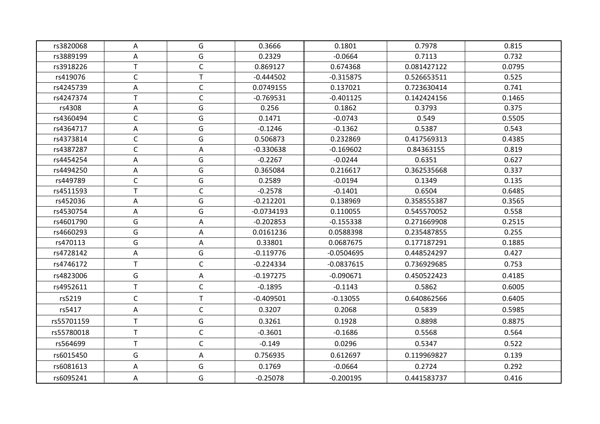| rs3820068  | A            | G            | 0.3666       | 0.1801       | 0.7978      | 0.815  |
|------------|--------------|--------------|--------------|--------------|-------------|--------|
| rs3889199  | A            | G            | 0.2329       | $-0.0664$    | 0.7113      | 0.732  |
| rs3918226  | $\mathsf T$  | $\mathsf C$  | 0.869127     | 0.674368     | 0.081427122 | 0.0795 |
| rs419076   | $\mathsf C$  | $\mathsf T$  | $-0.444502$  | $-0.315875$  | 0.526653511 | 0.525  |
| rs4245739  | A            | $\mathsf C$  | 0.0749155    | 0.137021     | 0.723630414 | 0.741  |
| rs4247374  | $\top$       | $\mathsf C$  | $-0.769531$  | $-0.401125$  | 0.142424156 | 0.1465 |
| rs4308     | Α            | G            | 0.256        | 0.1862       | 0.3793      | 0.375  |
| rs4360494  | $\mathsf C$  | G            | 0.1471       | $-0.0743$    | 0.549       | 0.5505 |
| rs4364717  | Α            | G            | $-0.1246$    | $-0.1362$    | 0.5387      | 0.543  |
| rs4373814  | C            | G            | 0.506873     | 0.232869     | 0.417569313 | 0.4385 |
| rs4387287  | $\mathsf C$  | Α            | $-0.330638$  | $-0.169602$  | 0.84363155  | 0.819  |
| rs4454254  | Α            | G            | $-0.2267$    | $-0.0244$    | 0.6351      | 0.627  |
| rs4494250  | Α            | G            | 0.365084     | 0.216617     | 0.362535668 | 0.337  |
| rs449789   | $\mathsf C$  | G            | 0.2589       | $-0.0194$    | 0.1349      | 0.135  |
| rs4511593  | $\top$       | $\mathsf C$  | $-0.2578$    | $-0.1401$    | 0.6504      | 0.6485 |
| rs452036   | Α            | G            | $-0.212201$  | 0.138969     | 0.358555387 | 0.3565 |
| rs4530754  | Α            | G            | $-0.0734193$ | 0.110055     | 0.545570052 | 0.558  |
| rs4601790  | G            | Α            | $-0.202853$  | $-0.155338$  | 0.271669908 | 0.2515 |
| rs4660293  | G            | Α            | 0.0161236    | 0.0588398    | 0.235487855 | 0.255  |
| rs470113   | G            | Α            | 0.33801      | 0.0687675    | 0.177187291 | 0.1885 |
| rs4728142  | Α            | G            | $-0.119776$  | $-0.0504695$ | 0.448524297 | 0.427  |
| rs4746172  | $\sf T$      | $\mathsf C$  | $-0.224334$  | $-0.0837615$ | 0.736929685 | 0.753  |
| rs4823006  | G            | Α            | $-0.197275$  | $-0.090671$  | 0.450522423 | 0.4185 |
| rs4952611  | T            | $\mathsf{C}$ | $-0.1895$    | $-0.1143$    | 0.5862      | 0.6005 |
| rs5219     | $\mathsf C$  | T            | $-0.409501$  | $-0.13055$   | 0.640862566 | 0.6405 |
| rs5417     | Α            | $\mathsf C$  | 0.3207       | 0.2068       | 0.5839      | 0.5985 |
| rs55701159 | $\mathsf{T}$ | G            | 0.3261       | 0.1928       | 0.8898      | 0.8875 |
| rs55780018 | T            | $\mathsf C$  | $-0.3601$    | $-0.1686$    | 0.5568      | 0.564  |
| rs564699   | $\mathsf T$  | $\mathsf C$  | $-0.149$     | 0.0296       | 0.5347      | 0.522  |
| rs6015450  | G            | Α            | 0.756935     | 0.612697     | 0.119969827 | 0.139  |
| rs6081613  | Α            | G            | 0.1769       | $-0.0664$    | 0.2724      | 0.292  |
| rs6095241  | Α            | G            | $-0.25078$   | $-0.200195$  | 0.441583737 | 0.416  |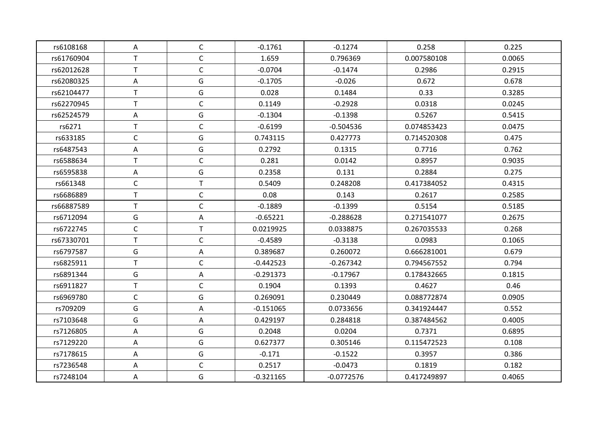| rs6108168  | A            | $\mathsf{C}$ | $-0.1761$   | $-0.1274$    | 0.258       | 0.225  |
|------------|--------------|--------------|-------------|--------------|-------------|--------|
| rs61760904 | $\mathsf T$  | $\mathsf C$  | 1.659       | 0.796369     | 0.007580108 | 0.0065 |
| rs62012628 | $\mathsf{T}$ | $\mathsf C$  | $-0.0704$   | $-0.1474$    | 0.2986      | 0.2915 |
| rs62080325 | Α            | G            | $-0.1705$   | $-0.026$     | 0.672       | 0.678  |
| rs62104477 | $\mathsf{T}$ | G            | 0.028       | 0.1484       | 0.33        | 0.3285 |
| rs62270945 | $\mathsf{T}$ | $\mathsf{C}$ | 0.1149      | $-0.2928$    | 0.0318      | 0.0245 |
| rs62524579 | Α            | G            | $-0.1304$   | $-0.1398$    | 0.5267      | 0.5415 |
| rs6271     | T            | $\mathsf{C}$ | $-0.6199$   | $-0.504536$  | 0.074853423 | 0.0475 |
| rs633185   | $\mathsf C$  | G            | 0.743115    | 0.427773     | 0.714520308 | 0.475  |
| rs6487543  | A            | G            | 0.2792      | 0.1315       | 0.7716      | 0.762  |
| rs6588634  | $\mathsf T$  | $\mathsf C$  | 0.281       | 0.0142       | 0.8957      | 0.9035 |
| rs6595838  | Α            | G            | 0.2358      | 0.131        | 0.2884      | 0.275  |
| rs661348   | $\mathsf{C}$ | $\mathsf{T}$ | 0.5409      | 0.248208     | 0.417384052 | 0.4315 |
| rs6686889  | $\mathsf{T}$ | $\mathsf{C}$ | 0.08        | 0.143        | 0.2617      | 0.2585 |
| rs66887589 | $\mathsf T$  | $\mathsf C$  | $-0.1889$   | $-0.1399$    | 0.5154      | 0.5185 |
| rs6712094  | G            | A            | $-0.65221$  | $-0.288628$  | 0.271541077 | 0.2675 |
| rs6722745  | $\mathsf{C}$ | $\mathsf{T}$ | 0.0219925   | 0.0338875    | 0.267035533 | 0.268  |
| rs67330701 | $\sf T$      | $\mathsf{C}$ | $-0.4589$   | $-0.3138$    | 0.0983      | 0.1065 |
| rs6797587  | G            | A            | 0.389687    | 0.260072     | 0.666281001 | 0.679  |
| rs6825911  | T            | $\mathsf{C}$ | $-0.442523$ | $-0.267342$  | 0.794567552 | 0.794  |
| rs6891344  | G            | A            | $-0.291373$ | $-0.17967$   | 0.178432665 | 0.1815 |
| rs6911827  | $\mathsf{T}$ | $\mathsf{C}$ | 0.1904      | 0.1393       | 0.4627      | 0.46   |
| rs6969780  | $\mathsf C$  | G            | 0.269091    | 0.230449     | 0.088772874 | 0.0905 |
| rs709209   | G            | Α            | $-0.151065$ | 0.0733656    | 0.341924447 | 0.552  |
| rs7103648  | G            | Α            | 0.429197    | 0.284818     | 0.387484562 | 0.4005 |
| rs7126805  | Α            | G            | 0.2048      | 0.0204       | 0.7371      | 0.6895 |
| rs7129220  | Α            | G            | 0.627377    | 0.305146     | 0.115472523 | 0.108  |
| rs7178615  | Α            | G            | $-0.171$    | $-0.1522$    | 0.3957      | 0.386  |
| rs7236548  | A            | $\mathsf C$  | 0.2517      | $-0.0473$    | 0.1819      | 0.182  |
| rs7248104  | A            | G            | $-0.321165$ | $-0.0772576$ | 0.417249897 | 0.4065 |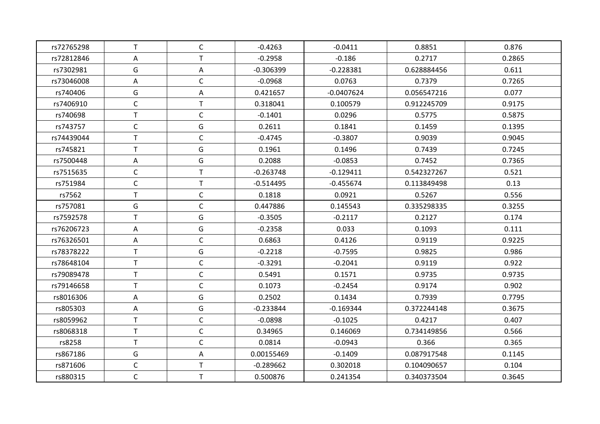| rs72765298 | T.           | $\mathsf{C}$ | $-0.4263$   | $-0.0411$    | 0.8851      | 0.876  |
|------------|--------------|--------------|-------------|--------------|-------------|--------|
| rs72812846 | Α            | $\mathsf T$  | $-0.2958$   | $-0.186$     | 0.2717      | 0.2865 |
| rs7302981  | G            | Α            | $-0.306399$ | $-0.228381$  | 0.628884456 | 0.611  |
| rs73046008 | A            | $\mathsf C$  | $-0.0968$   | 0.0763       | 0.7379      | 0.7265 |
| rs740406   | G            | Α            | 0.421657    | $-0.0407624$ | 0.056547216 | 0.077  |
| rs7406910  | $\mathsf C$  | T            | 0.318041    | 0.100579     | 0.912245709 | 0.9175 |
| rs740698   | $\sf T$      | $\mathsf C$  | $-0.1401$   | 0.0296       | 0.5775      | 0.5875 |
| rs743757   | $\mathsf C$  | G            | 0.2611      | 0.1841       | 0.1459      | 0.1395 |
| rs74439044 | $\mathsf T$  | $\mathsf{C}$ | $-0.4745$   | $-0.3807$    | 0.9039      | 0.9045 |
| rs745821   | T            | G            | 0.1961      | 0.1496       | 0.7439      | 0.7245 |
| rs7500448  | Α            | G            | 0.2088      | $-0.0853$    | 0.7452      | 0.7365 |
| rs7515635  | $\mathsf C$  | $\mathsf{T}$ | $-0.263748$ | $-0.129411$  | 0.542327267 | 0.521  |
| rs751984   | $\mathsf C$  | T.           | $-0.514495$ | $-0.455674$  | 0.113849498 | 0.13   |
| rs7562     | $\sf T$      | $\mathsf C$  | 0.1818      | 0.0921       | 0.5267      | 0.556  |
| rs757081   | G            | $\mathsf C$  | 0.447886    | 0.145543     | 0.335298335 | 0.3255 |
| rs7592578  | $\mathsf T$  | G            | $-0.3505$   | $-0.2117$    | 0.2127      | 0.174  |
| rs76206723 | Α            | G            | $-0.2358$   | 0.033        | 0.1093      | 0.111  |
| rs76326501 | Α            | $\mathsf C$  | 0.6863      | 0.4126       | 0.9119      | 0.9225 |
| rs78378222 | $\sf T$      | G            | $-0.2218$   | $-0.7595$    | 0.9825      | 0.986  |
| rs78648104 | $\mathsf T$  | $\mathsf{C}$ | $-0.3291$   | $-0.2041$    | 0.9119      | 0.922  |
| rs79089478 | $\mathsf T$  | $\mathsf C$  | 0.5491      | 0.1571       | 0.9735      | 0.9735 |
| rs79146658 | T            | $\mathsf{C}$ | 0.1073      | $-0.2454$    | 0.9174      | 0.902  |
| rs8016306  | Α            | G            | 0.2502      | 0.1434       | 0.7939      | 0.7795 |
| rs805303   | Α            | G            | $-0.233844$ | $-0.169344$  | 0.372244148 | 0.3675 |
| rs8059962  | $\mathsf T$  | $\mathsf C$  | $-0.0898$   | $-0.1025$    | 0.4217      | 0.407  |
| rs8068318  | $\mathsf{T}$ | $\mathsf{C}$ | 0.34965     | 0.146069     | 0.734149856 | 0.566  |
| rs8258     | $\sf T$      | $\mathsf C$  | 0.0814      | $-0.0943$    | 0.366       | 0.365  |
| rs867186   | G            | A            | 0.00155469  | $-0.1409$    | 0.087917548 | 0.1145 |
| rs871606   | $\mathsf C$  | $\sf T$      | $-0.289662$ | 0.302018     | 0.104090657 | 0.104  |
| rs880315   | $\mathsf C$  | T.           | 0.500876    | 0.241354     | 0.340373504 | 0.3645 |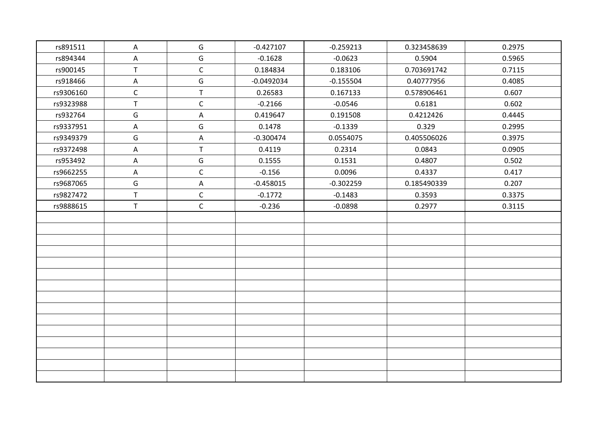| rs891511  | $\mathsf{A}$              | G           | $-0.427107$  | $-0.259213$ | 0.323458639 | 0.2975 |
|-----------|---------------------------|-------------|--------------|-------------|-------------|--------|
| rs894344  | $\boldsymbol{\mathsf{A}}$ | G           | $-0.1628$    | $-0.0623$   | 0.5904      | 0.5965 |
| rs900145  | $\mathsf{T}$              | $\mathsf C$ | 0.184834     | 0.183106    | 0.703691742 | 0.7115 |
| rs918466  | $\mathsf{A}$              | G           | $-0.0492034$ | $-0.155504$ | 0.40777956  | 0.4085 |
| rs9306160 | $\mathsf{C}$              | $\mathsf T$ | 0.26583      | 0.167133    | 0.578906461 | 0.607  |
| rs9323988 | $\mathsf T$               | $\mathsf C$ | $-0.2166$    | $-0.0546$   | 0.6181      | 0.602  |
| rs932764  | G                         | A           | 0.419647     | 0.191508    | 0.4212426   | 0.4445 |
| rs9337951 | $\mathsf{A}$              | G           | 0.1478       | $-0.1339$   | 0.329       | 0.2995 |
| rs9349379 | G                         | A           | $-0.300474$  | 0.0554075   | 0.405506026 | 0.3975 |
| rs9372498 | A                         | $\sf T$     | 0.4119       | 0.2314      | 0.0843      | 0.0905 |
| rs953492  | Α                         | G           | 0.1555       | 0.1531      | 0.4807      | 0.502  |
| rs9662255 | $\mathsf{A}$              | $\mathsf C$ | $-0.156$     | 0.0096      | 0.4337      | 0.417  |
| rs9687065 | G                         | Α           | $-0.458015$  | $-0.302259$ | 0.185490339 | 0.207  |
| rs9827472 | $\mathsf T$               | $\mathsf C$ | $-0.1772$    | $-0.1483$   | 0.3593      | 0.3375 |
| rs9888615 | $\mathsf T$               | $\mathsf C$ | $-0.236$     | $-0.0898$   | 0.2977      | 0.3115 |
|           |                           |             |              |             |             |        |
|           |                           |             |              |             |             |        |
|           |                           |             |              |             |             |        |
|           |                           |             |              |             |             |        |
|           |                           |             |              |             |             |        |
|           |                           |             |              |             |             |        |
|           |                           |             |              |             |             |        |
|           |                           |             |              |             |             |        |
|           |                           |             |              |             |             |        |
|           |                           |             |              |             |             |        |
|           |                           |             |              |             |             |        |
|           |                           |             |              |             |             |        |
|           |                           |             |              |             |             |        |
|           |                           |             |              |             |             |        |
|           |                           |             |              |             |             |        |